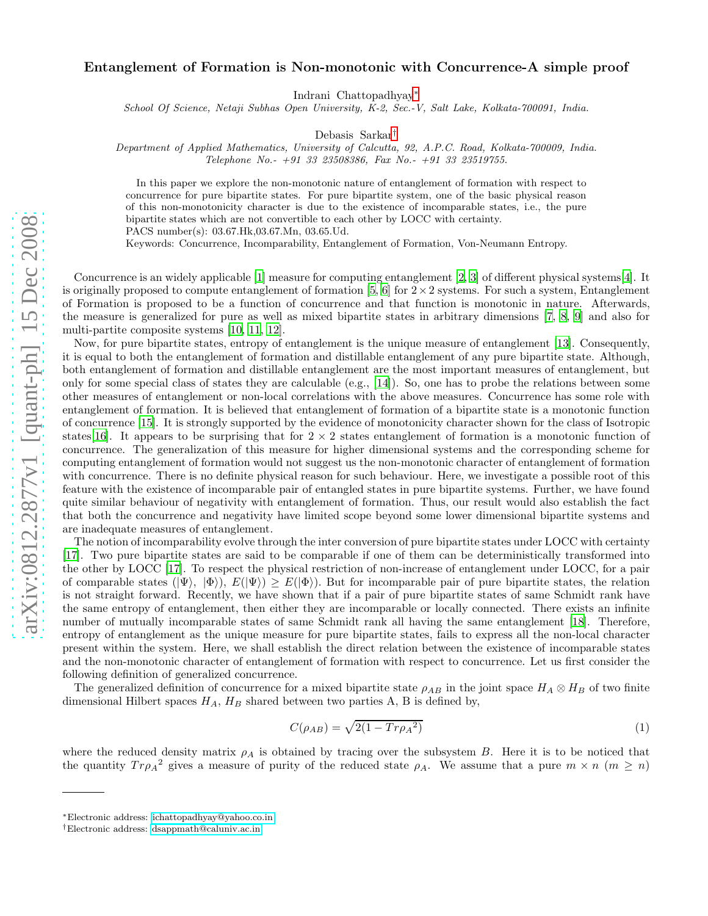## Entanglement of Formation is Non-monotonic with Concurrence-A simple proof

Indrani Chattopadhyay[∗](#page-0-0)

*School Of Science, Netaji Subhas Open University, K-2, Sec.-V, Salt Lake, Kolkata-700091, India.*

Debasis Sarkar[†](#page-0-1)

*Department of Applied Mathematics, University of Calcutta, 92, A.P.C. Road, Kolkata-700009, India.*

*Telephone No.- +91 33 23508386, Fax No.- +91 33 23519755.*

In this paper we explore the non-monotonic nature of entanglement of formation with respect to concurrence for pure bipartite states. For pure bipartite system, one of the basic physical reason of this non-monotonicity character is due to the existence of incomparable states, i.e., the pure bipartite states which are not convertible to each other by LOCC with certainty.

PACS number(s): 03.67.Hk,03.67.Mn, 03.65.Ud.

Keywords: Concurrence, Incomparability, Entanglement of Formation, Von-Neumann Entropy.

Concurrence is an widely applicable [\[1](#page-2-0)] measure for computing entanglement [\[2,](#page-2-1) [3\]](#page-2-2) of different physical systems[\[4\]](#page-2-3). It is originally proposed to compute entanglement of formation [\[5,](#page-3-0) [6\]](#page-3-1) for  $2\times 2$  systems. For such a system, Entanglement of Formation is proposed to be a function of concurrence and that function is monotonic in nature. Afterwards, the measure is generalized for pure as well as mixed bipartite states in arbitrary dimensions [\[7](#page-3-2), [8](#page-3-3), [9](#page-3-4)] and also for multi-partite composite systems [\[10](#page-3-5), [11](#page-3-6), [12\]](#page-3-7).

Now, for pure bipartite states, entropy of entanglement is the unique measure of entanglement [\[13\]](#page-3-8). Consequently, it is equal to both the entanglement of formation and distillable entanglement of any pure bipartite state. Although, both entanglement of formation and distillable entanglement are the most important measures of entanglement, but only for some special class of states they are calculable (e.g.,  $[14]$ ). So, one has to probe the relations between some other measures of entanglement or non-local correlations with the above measures. Concurrence has some role with entanglement of formation. It is believed that entanglement of formation of a bipartite state is a monotonic function of concurrence [\[15\]](#page-3-10). It is strongly supported by the evidence of monotonicity character shown for the class of Isotropic states [\[16\]](#page-3-11). It appears to be surprising that for  $2 \times 2$  states entanglement of formation is a monotonic function of concurrence. The generalization of this measure for higher dimensional systems and the corresponding scheme for computing entanglement of formation would not suggest us the non-monotonic character of entanglement of formation with concurrence. There is no definite physical reason for such behaviour. Here, we investigate a possible root of this feature with the existence of incomparable pair of entangled states in pure bipartite systems. Further, we have found quite similar behaviour of negativity with entanglement of formation. Thus, our result would also establish the fact that both the concurrence and negativity have limited scope beyond some lower dimensional bipartite systems and are inadequate measures of entanglement.

The notion of incomparability evolve through the inter conversion of pure bipartite states under LOCC with certainty [\[17\]](#page-3-12). Two pure bipartite states are said to be comparable if one of them can be deterministically transformed into the other by LOCC [\[17\]](#page-3-12). To respect the physical restriction of non-increase of entanglement under LOCC, for a pair of comparable states  $(|\Psi\rangle, |\Phi\rangle, E(|\Psi\rangle) \ge E(|\Phi\rangle)$ . But for incomparable pair of pure bipartite states, the relation is not straight forward. Recently, we have shown that if a pair of pure bipartite states of same Schmidt rank have the same entropy of entanglement, then either they are incomparable or locally connected. There exists an infinite number of mutually incomparable states of same Schmidt rank all having the same entanglement [\[18](#page-3-13)]. Therefore, entropy of entanglement as the unique measure for pure bipartite states, fails to express all the non-local character present within the system. Here, we shall establish the direct relation between the existence of incomparable states and the non-monotonic character of entanglement of formation with respect to concurrence. Let us first consider the following definition of generalized concurrence.

The generalized definition of concurrence for a mixed bipartite state  $\rho_{AB}$  in the joint space  $H_A \otimes H_B$  of two finite dimensional Hilbert spaces  $H_A$ ,  $H_B$  shared between two parties A, B is defined by,

$$
C(\rho_{AB}) = \sqrt{2(1 - Tr \rho_A^2)}\tag{1}
$$

where the reduced density matrix  $\rho_A$  is obtained by tracing over the subsystem B. Here it is to be noticed that the quantity  $Tr \rho_A^2$  gives a measure of purity of the reduced state  $\rho_A$ . We assume that a pure  $m \times n$   $(m \ge n)$ 

<span id="page-0-0"></span><sup>∗</sup>Electronic address: [ichattopadhyay@yahoo.co.in](mailto:ichattopadhyay@yahoo.co.in)

<span id="page-0-1"></span><sup>†</sup>Electronic address: [dsappmath@caluniv.ac.in](mailto:dsappmath@caluniv.ac.in)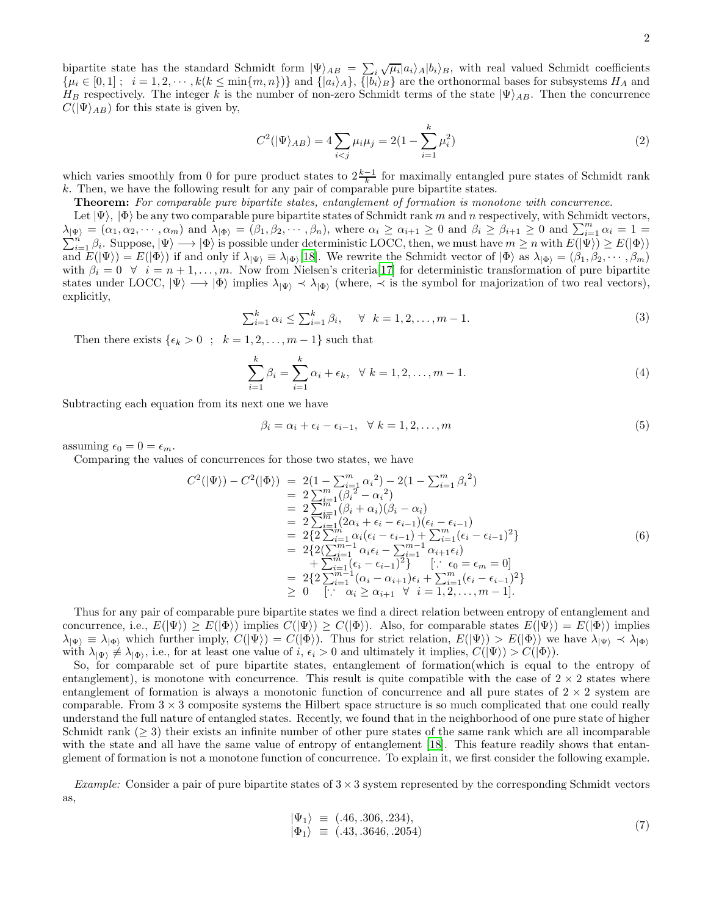bipartite state has the standard Schmidt form  $|\Psi\rangle_{AB} = \sum_{i} i \sqrt{\mu_i} |a_i\rangle_A |b_i\rangle_B$ , with real valued Schmidt coefficients  ${\mu_i \in [0,1] \; ; \; i = 1,2,\cdots,k(k \le \min\{m,n\})}$  and  ${\{\vert a_i \rangle_A\} , {\{\vert b_i \rangle_B\}}$  are the orthonormal bases for subsystems  $H_A$  and H<sub>B</sub> respectively. The integer k is the number of non-zero Schmidt terms of the state  $|\Psi\rangle_{AB}$ . Then the concurrence  $C(|\Psi\rangle_{AB})$  for this state is given by,

$$
C^{2}(|\Psi\rangle_{AB}) = 4\sum_{i < j} \mu_{i}\mu_{j} = 2(1 - \sum_{i=1}^{k} \mu_{i}^{2})\tag{2}
$$

which varies smoothly from 0 for pure product states to  $2\frac{k-1}{k}$  for maximally entangled pure states of Schmidt rank k. Then, we have the following result for any pair of comparable pure bipartite states.

Theorem: *For comparable pure bipartite states, entanglement of formation is monotone with concurrence.*

Let  $|\Psi\rangle$ ,  $|\Phi\rangle$  be any two comparable pure bipartite states of Schmidt rank m and n respectively, with Schmidt vectors,  $\lambda_{\vert \Psi \rangle} = (\alpha_1, \alpha_2, \cdots, \alpha_m)$  and  $\lambda_{\vert \Phi \rangle} = (\beta_1, \beta_2, \cdots, \beta_n)$ , where  $\alpha_i \geq \alpha_{i+1} \geq 0$  and  $\beta_i \geq \beta_{i+1} \geq 0$  and  $\sum_{i=1}^m \beta_i$  $\sum$  $\mathfrak{p}_k = (\alpha_1, \alpha_2, \cdots, \alpha_m)$  and  $\lambda_{|\Phi\rangle} = (\beta_1, \beta_2, \cdots, \beta_n)$ , where  $\alpha_i \ge \alpha_{i+1} \ge 0$  and  $\beta_i \ge \beta_{i+1} \ge 0$  and  $\sum_{i=1}^m \alpha_i = 1 = \frac{n}{n}$ . Suppose,  $|\Psi\rangle \rightarrow |\Phi\rangle$  is possible under deterministic LOCC, then, we must have and  $E(|\Psi\rangle) = E(|\Phi\rangle)$  if and only if  $\lambda_{|\Psi\rangle} \equiv \lambda_{|\Phi\rangle}$  [\[18](#page-3-13)]. We rewrite the Schmidt vector of  $|\Phi\rangle$  as  $\lambda_{|\Phi\rangle} = (\beta_1, \beta_2, \dots, \beta_m)$ with  $\beta_i = 0 \ \ \forall \ \ i = n+1, \ldots, m$ . Now from Nielsen's criteria<sup>[\[17](#page-3-12)]</sup> for deterministic transformation of pure bipartite states under LOCC,  $|\Psi\rangle \longrightarrow |\Phi\rangle$  implies  $\lambda_{|\Psi\rangle} \prec \lambda_{|\Phi\rangle}$  (where,  $\prec$  is the symbol for majorization of two real vectors), explicitly,

$$
\sum_{i=1}^{k} \alpha_i \le \sum_{i=1}^{k} \beta_i, \quad \forall \quad k = 1, 2, \dots, m - 1.
$$
\n
$$
(3)
$$

Then there exists  $\{\epsilon_k > 0 ; k = 1, 2, ..., m-1\}$  such that

$$
\sum_{i=1}^{k} \beta_i = \sum_{i=1}^{k} \alpha_i + \epsilon_k, \ \ \forall \ k = 1, 2, \dots, m - 1.
$$
 (4)

Subtracting each equation from its next one we have

$$
\beta_i = \alpha_i + \epsilon_i - \epsilon_{i-1}, \quad \forall \ k = 1, 2, \dots, m
$$
\n<sup>(5)</sup>

assuming  $\epsilon_0 = 0 = \epsilon_m$ .

Comparing the values of concurrences for those two states, we have

$$
C^{2}(|\Psi\rangle) - C^{2}(|\Phi\rangle) = 2(1 - \sum_{i=1}^{m} \alpha_{i}^{2}) - 2(1 - \sum_{i=1}^{m} \beta_{i}^{2})
$$
  
\n
$$
= 2 \sum_{i=1}^{m} (\beta_{i}^{2} - \alpha_{i}^{2})
$$
  
\n
$$
= 2 \sum_{i=1}^{m} (\beta_{i} + \alpha_{i})(\beta_{i} - \alpha_{i})
$$
  
\n
$$
= 2 \sum_{i=1}^{m} (2\alpha_{i} + \epsilon_{i} - \epsilon_{i-1})(\epsilon_{i} - \epsilon_{i-1})
$$
  
\n
$$
= 2 \{2 \sum_{i=1}^{m} \alpha_{i}(\epsilon_{i} - \epsilon_{i-1}) + \sum_{i=1}^{m} (\epsilon_{i} - \epsilon_{i-1})^{2}\}
$$
  
\n
$$
= 2 \{2(\sum_{i=1}^{m-1} \alpha_{i} \epsilon_{i} - \sum_{i=1}^{m-1} \alpha_{i+1} \epsilon_{i})
$$
  
\n
$$
+ \sum_{i=1}^{m} (\epsilon_{i} - \epsilon_{i-1})^{2}\} \quad [\because \epsilon_{0} = \epsilon_{m} = 0]
$$
  
\n
$$
= 2 \{2 \sum_{i=1}^{m-1} (\alpha_{i} - \alpha_{i+1}) \epsilon_{i} + \sum_{i=1}^{m} (\epsilon_{i} - \epsilon_{i-1})^{2}\}
$$
  
\n
$$
\geq 0 \quad [\because \alpha_{i} \geq \alpha_{i+1} \ \forall \ i = 1, 2, ..., m - 1].
$$
\n(6)

Thus for any pair of comparable pure bipartite states we find a direct relation between entropy of entanglement and concurrence, i.e.,  $E(|\Psi\rangle) \ge E(|\Phi\rangle)$  implies  $C(|\Psi\rangle) \ge C(|\Phi\rangle)$ . Also, for comparable states  $E(|\Psi\rangle) = E(|\Phi\rangle)$  implies  $\lambda_{|\Psi\rangle} \equiv \lambda_{|\Phi\rangle}$  which further imply,  $C(|\Psi\rangle) = C(|\Phi\rangle)$ . Thus for strict relation,  $E(|\Psi\rangle) > E(|\Phi\rangle)$  we have  $\lambda_{|\Psi\rangle} \prec \lambda_{|\Phi\rangle}$ with  $\lambda_{\vert \Psi} \not\equiv \lambda_{\vert \Phi}$ , i.e., for at least one value of  $i, \epsilon_i > 0$  and ultimately it implies,  $C(\vert \Psi \rangle) > C(\vert \Phi \rangle)$ .

So, for comparable set of pure bipartite states, entanglement of formation(which is equal to the entropy of entanglement), is monotone with concurrence. This result is quite compatible with the case of  $2 \times 2$  states where entanglement of formation is always a monotonic function of concurrence and all pure states of  $2 \times 2$  system are comparable. From  $3 \times 3$  composite systems the Hilbert space structure is so much complicated that one could really understand the full nature of entangled states. Recently, we found that in the neighborhood of one pure state of higher Schmidt rank  $(≥ 3)$  their exists an infinite number of other pure states of the same rank which are all incomparable with the state and all have the same value of entropy of entanglement [\[18\]](#page-3-13). This feature readily shows that entanglement of formation is not a monotone function of concurrence. To explain it, we first consider the following example.

*Example:* Consider a pair of pure bipartite states of  $3 \times 3$  system represented by the corresponding Schmidt vectors as,

$$
\begin{array}{rcl}\n|\Psi_1\rangle & \equiv & (.46, .306, .234), \\
|\Phi_1\rangle & \equiv & (.43, .3646, .2054)\n\end{array} (7)
$$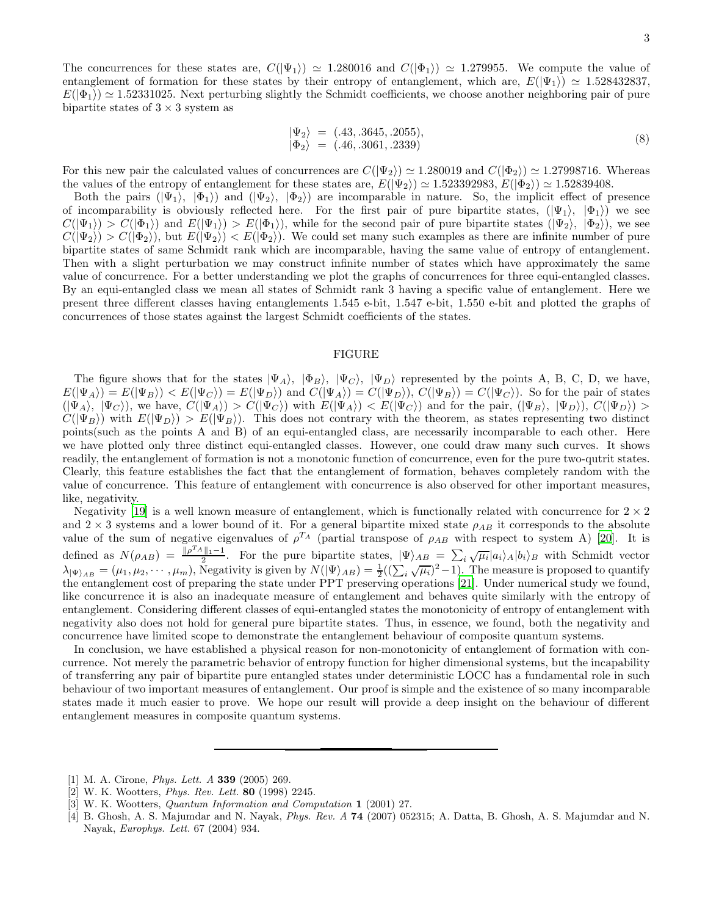The concurrences for these states are,  $C(|\Psi_1\rangle) \approx 1.280016$  and  $C(|\Phi_1\rangle) \approx 1.279955$ . We compute the value of entanglement of formation for these states by their entropy of entanglement, which are,  $E(|\Psi_1\rangle) \approx 1.528432837$ ,  $E(|\Phi_1\rangle) \simeq 1.52331025$ . Next perturbing slightly the Schmidt coefficients, we choose another neighboring pair of pure bipartite states of  $3 \times 3$  system as

$$
\begin{array}{rcl}\n\ket{\Psi_2} &=& (.43, .3645, .2055), \\
\ket{\Phi_2} &=& (.46, .3061, .2339)\n\end{array}\n\tag{8}
$$

For this new pair the calculated values of concurrences are  $C(\Psi_2) \simeq 1.280019$  and  $C(\Psi_2) \simeq 1.27998716$ . Whereas the values of the entropy of entanglement for these states are,  $E(|\Psi_2\rangle) \simeq 1.523392983, E(|\Phi_2\rangle) \simeq 1.52839408.$ 

Both the pairs  $(|\Psi_1\rangle, |\Phi_1\rangle)$  and  $(|\Psi_2\rangle, |\Phi_2\rangle)$  are incomparable in nature. So, the implicit effect of presence of incomparability is obviously reflected here. For the first pair of pure bipartite states,  $(|\Psi_1\rangle, |\Phi_1\rangle)$  we see  $C(|\Psi_1\rangle) > C(|\Phi_1\rangle)$  and  $E(|\Psi_1\rangle) > E(|\Phi_1\rangle)$ , while for the second pair of pure bipartite states  $(|\Psi_2\rangle, |\Phi_2\rangle)$ , we see  $C(|\Psi_2\rangle) > C(|\Phi_2\rangle)$ , but  $E(|\Psi_2\rangle) < E(|\Phi_2\rangle)$ . We could set many such examples as there are infinite number of pure bipartite states of same Schmidt rank which are incomparable, having the same value of entropy of entanglement. Then with a slight perturbation we may construct infinite number of states which have approximately the same value of concurrence. For a better understanding we plot the graphs of concurrences for three equi-entangled classes. By an equi-entangled class we mean all states of Schmidt rank 3 having a specific value of entanglement. Here we present three different classes having entanglements 1.545 e-bit, 1.547 e-bit, 1.550 e-bit and plotted the graphs of concurrences of those states against the largest Schmidt coefficients of the states.

## FIGURE

The figure shows that for the states  $|\Psi_A\rangle$ ,  $|\Phi_B\rangle$ ,  $|\Psi_C\rangle$ ,  $|\Psi_D\rangle$  represented by the points A, B, C, D, we have,  $E(|\Psi_A\rangle) = E(|\Psi_B\rangle) < E(|\Psi_C\rangle) = E(|\Psi_D\rangle)$  and  $C(|\Psi_A\rangle) = C(|\Psi_D\rangle)$ ,  $C(|\Psi_B\rangle) = C(|\Psi_C\rangle)$ . So for the pair of states  $(|\Psi_A\rangle, |\Psi_C\rangle)$ , we have,  $C(|\Psi_A\rangle) > C(|\Psi_C\rangle)$  with  $E(|\Psi_A\rangle) < E(|\Psi_C\rangle)$  and for the pair,  $(|\Psi_B\rangle, |\Psi_D\rangle)$ ,  $C(|\Psi_D\rangle) >$  $C(|\Psi_B\rangle)$  with  $E(|\Psi_D\rangle) > E(|\Psi_B\rangle)$ . This does not contrary with the theorem, as states representing two distinct points(such as the points A and B) of an equi-entangled class, are necessarily incomparable to each other. Here we have plotted only three distinct equi-entangled classes. However, one could draw many such curves. It shows readily, the entanglement of formation is not a monotonic function of concurrence, even for the pure two-qutrit states. Clearly, this feature establishes the fact that the entanglement of formation, behaves completely random with the value of concurrence. This feature of entanglement with concurrence is also observed for other important measures, like, negativity.

Negativity [\[19\]](#page-3-14) is a well known measure of entanglement, which is functionally related with concurrence for  $2 \times 2$ and  $2 \times 3$  systems and a lower bound of it. For a general bipartite mixed state  $\rho_{AB}$  it corresponds to the absolute value of the sum of negative eigenvalues of  $\rho^{T_A}$  (partial transpose of  $\rho_{AB}$  with respect to system A) [\[20](#page-3-15)]. It is defined as  $N(\rho_{AB}) = \frac{\Vert \rho^{T_A} \Vert_1 - 1}{2}$ . For the pure bipartite states,  $|\Psi\rangle_{AB} = \sum_i \sqrt{\mu_i} |a_i\rangle_A |b_i\rangle_B$  with Schmidt vector  $\lambda_{\vert \Psi \rangle_{AB}} = (\mu_1, \mu_2, \cdots, \mu_m)$ , Negativity is given by  $N(\vert \Psi \rangle_{AB}) = \frac{1}{2}((\sum_i \sqrt{\mu_i})^2 - 1)$ . The measure is proposed to quantify the entanglement cost of preparing the state under PPT preserving operations [\[21](#page-3-16)]. Under numerical study we found, like concurrence it is also an inadequate measure of entanglement and behaves quite similarly with the entropy of entanglement. Considering different classes of equi-entangled states the monotonicity of entropy of entanglement with negativity also does not hold for general pure bipartite states. Thus, in essence, we found, both the negativity and concurrence have limited scope to demonstrate the entanglement behaviour of composite quantum systems.

In conclusion, we have established a physical reason for non-monotonicity of entanglement of formation with concurrence. Not merely the parametric behavior of entropy function for higher dimensional systems, but the incapability of transferring any pair of bipartite pure entangled states under deterministic LOCC has a fundamental role in such behaviour of two important measures of entanglement. Our proof is simple and the existence of so many incomparable states made it much easier to prove. We hope our result will provide a deep insight on the behaviour of different entanglement measures in composite quantum systems.

<span id="page-2-0"></span><sup>[1]</sup> M. A. Cirone, *Phys. Lett. A* 339 (2005) 269.

<span id="page-2-1"></span><sup>[2]</sup> W. K. Wootters, *Phys. Rev. Lett.* 80 (1998) 2245.

<span id="page-2-2"></span><sup>[3]</sup> W. K. Wootters, *Quantum Information and Computation* 1 (2001) 27.

<span id="page-2-3"></span><sup>[4]</sup> B. Ghosh, A. S. Majumdar and N. Nayak, *Phys. Rev. A* 74 (2007) 052315; A. Datta, B. Ghosh, A. S. Majumdar and N. Nayak, *Europhys. Lett.* 67 (2004) 934.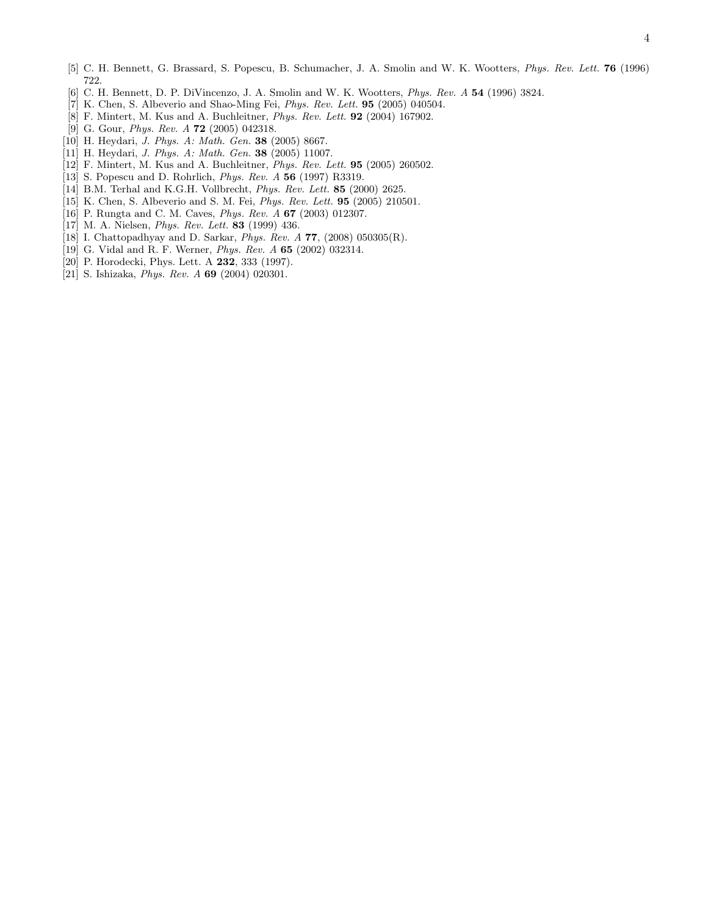- <span id="page-3-0"></span>[5] C. H. Bennett, G. Brassard, S. Popescu, B. Schumacher, J. A. Smolin and W. K. Wootters, *Phys. Rev. Lett.* 76 (1996) 722.
- <span id="page-3-1"></span>[6] C. H. Bennett, D. P. DiVincenzo, J. A. Smolin and W. K. Wootters, *Phys. Rev. A* 54 (1996) 3824.
- <span id="page-3-2"></span>[7] K. Chen, S. Albeverio and Shao-Ming Fei, *Phys. Rev. Lett.* 95 (2005) 040504.
- <span id="page-3-3"></span>[8] F. Mintert, M. Kus and A. Buchleitner, *Phys. Rev. Lett.* 92 (2004) 167902.
- <span id="page-3-4"></span>[9] G. Gour, *Phys. Rev. A* 72 (2005) 042318.
- <span id="page-3-5"></span>[10] H. Heydari, *J. Phys. A: Math. Gen.* 38 (2005) 8667.
- <span id="page-3-6"></span>[11] H. Heydari, *J. Phys. A: Math. Gen.* 38 (2005) 11007.
- <span id="page-3-7"></span>[12] F. Mintert, M. Kus and A. Buchleitner, *Phys. Rev. Lett.* 95 (2005) 260502.
- <span id="page-3-8"></span>[13] S. Popescu and D. Rohrlich, *Phys. Rev. A* 56 (1997) R3319.
- <span id="page-3-9"></span>[14] B.M. Terhal and K.G.H. Vollbrecht, *Phys. Rev. Lett.* 85 (2000) 2625.
- <span id="page-3-10"></span>[15] K. Chen, S. Albeverio and S. M. Fei, *Phys. Rev. Lett.* 95 (2005) 210501.
- <span id="page-3-11"></span>[16] P. Rungta and C. M. Caves, *Phys. Rev. A* 67 (2003) 012307.
- <span id="page-3-12"></span>[17] M. A. Nielsen, *Phys. Rev. Lett.* 83 (1999) 436.
- <span id="page-3-13"></span>[18] I. Chattopadhyay and D. Sarkar, *Phys. Rev. A* 77, (2008) 050305(R).
- <span id="page-3-14"></span>[19] G. Vidal and R. F. Werner, *Phys. Rev. A* 65 (2002) 032314.
- <span id="page-3-15"></span>[20] P. Horodecki, Phys. Lett. A **232**, 333 (1997).
- <span id="page-3-16"></span>[21] S. Ishizaka, *Phys. Rev. A* 69 (2004) 020301.